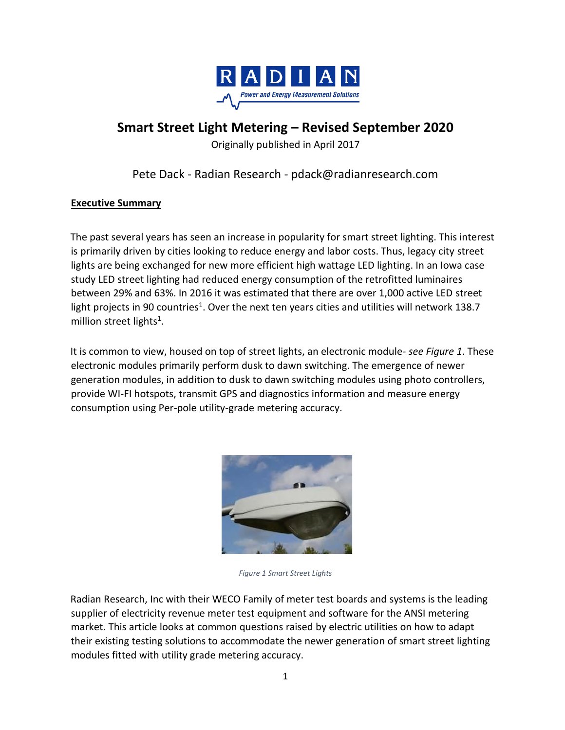

# **Smart Street Light Metering – Revised September 2020**

Originally published in April 2017

## Pete Dack - Radian Research - pdack@radianresearch.com

## **Executive Summary**

The past several years has seen an increase in popularity for smart street lighting. This interest is primarily driven by cities looking to reduce energy and labor costs. Thus, legacy city street lights are being exchanged for new more efficient high wattage LED lighting. In an Iowa case study LED street lighting had reduced energy consumption of the retrofitted luminaires between 29% and 63%. In 2016 it was estimated that there are over 1,000 active LED street light projects in 90 countries<sup>1</sup>. Over the next ten years cities and utilities will network 138.7 million street lights<sup>1</sup>.

It is common to view, housed on top of street lights, an electronic module- *see Figure 1*. These electronic modules primarily perform dusk to dawn switching. The emergence of newer generation modules, in addition to dusk to dawn switching modules using photo controllers, provide WI-FI hotspots, transmit GPS and diagnostics information and measure energy consumption using Per-pole utility-grade metering accuracy.



*Figure 1 Smart Street Lights*

Radian Research, Inc with their WECO Family of meter test boards and systems is the leading supplier of electricity revenue meter test equipment and software for the ANSI metering market. This article looks at common questions raised by electric utilities on how to adapt their existing testing solutions to accommodate the newer generation of smart street lighting modules fitted with utility grade metering accuracy.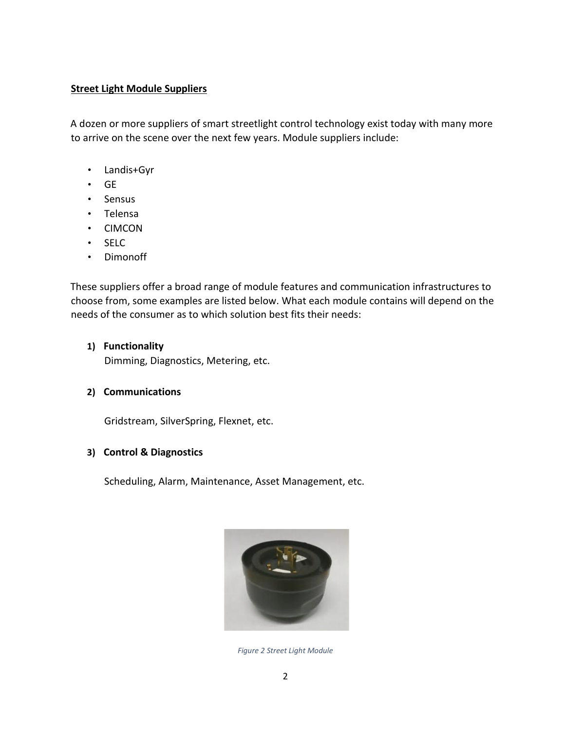## **Street Light Module Suppliers**

A dozen or more suppliers of smart streetlight control technology exist today with many more to arrive on the scene over the next few years. Module suppliers include:

- Landis+Gyr
- GE
- Sensus
- Telensa
- CIMCON
- SELC
- Dimonoff

These suppliers offer a broad range of module features and communication infrastructures to choose from, some examples are listed below. What each module contains will depend on the needs of the consumer as to which solution best fits their needs:

**1) Functionality**

Dimming, Diagnostics, Metering, etc.

#### **2) Communications**

Gridstream, SilverSpring, Flexnet, etc.

#### **3) Control & Diagnostics**

Scheduling, Alarm, Maintenance, Asset Management, etc.



*Figure 2 Street Light Module*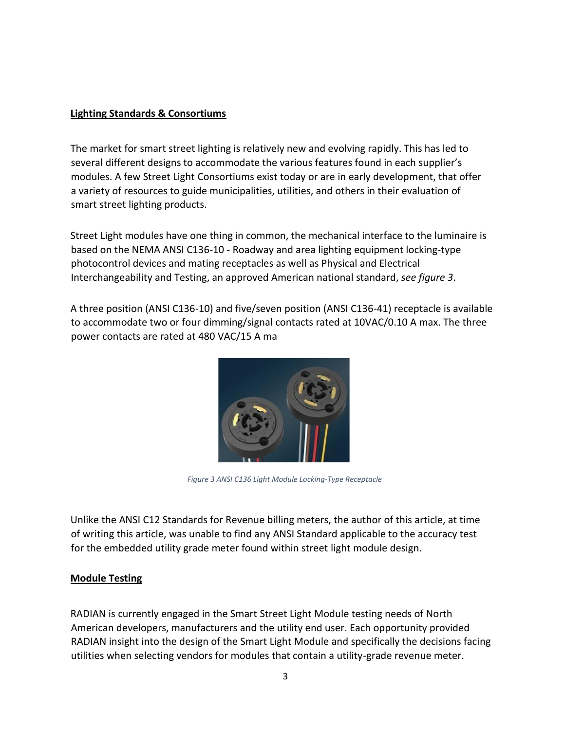## **Lighting Standards & Consortiums**

The market for smart street lighting is relatively new and evolving rapidly. This has led to several different designs to accommodate the various features found in each supplier's modules. A few Street Light Consortiums exist today or are in early development, that offer a variety [of resources](https://energy.gov/eere/ssl/outdoor-lighting-resources) [to](https://energy.gov/eere/ssl/outdoor-lighting-resources) guide municipalities, utilities, and others in their evaluation of smart street lighting products.

Street Light modules have one thing in common, the mechanical interface to the luminaire is based on the NEMA ANSI C136-1[0 -](https://webstore.ansi.org/RecordDetail.aspx?sku=ANSI%2BC136.10-2010) [Roadway](https://webstore.ansi.org/RecordDetail.aspx?sku=ANSI%2BC136.10-2010) [and](https://webstore.ansi.org/RecordDetail.aspx?sku=ANSI%2BC136.10-2010) [area lighting](https://webstore.ansi.org/RecordDetail.aspx?sku=ANSI%2BC136.10-2010) [equipment](https://webstore.ansi.org/RecordDetail.aspx?sku=ANSI%2BC136.10-2010) [locking-type](https://webstore.ansi.org/RecordDetail.aspx?sku=ANSI%2BC136.10-2010) [photocontrol](https://webstore.ansi.org/RecordDetail.aspx?sku=ANSI%2BC136.10-2010) [devices](https://webstore.ansi.org/RecordDetail.aspx?sku=ANSI%2BC136.10-2010) [and](https://webstore.ansi.org/RecordDetail.aspx?sku=ANSI%2BC136.10-2010) [mating](https://webstore.ansi.org/RecordDetail.aspx?sku=ANSI%2BC136.10-2010) [receptacles](https://webstore.ansi.org/RecordDetail.aspx?sku=ANSI%2BC136.10-2010) [as well](https://webstore.ansi.org/RecordDetail.aspx?sku=ANSI%2BC136.10-2010) [as](https://webstore.ansi.org/RecordDetail.aspx?sku=ANSI%2BC136.10-2010) [Physical](https://webstore.ansi.org/RecordDetail.aspx?sku=ANSI%2BC136.10-2010) [and](https://webstore.ansi.org/RecordDetail.aspx?sku=ANSI%2BC136.10-2010) [Electrical](https://webstore.ansi.org/RecordDetail.aspx?sku=ANSI%2BC136.10-2010)  [Interchangeability](https://webstore.ansi.org/RecordDetail.aspx?sku=ANSI%2BC136.10-2010) [and](https://webstore.ansi.org/RecordDetail.aspx?sku=ANSI%2BC136.10-2010) [Testing, an ap](https://webstore.ansi.org/RecordDetail.aspx?sku=ANSI%2BC136.10-2010)proved American national standard, *see figure 3*.

A three position (ANSI C136-10) and five/seven position (ANSI C136-41) receptacle is available to accommodate two or four dimming/signal contacts rated at 10VAC/0.10 A max. The three power contacts are rated at 480 VAC/15 A ma



*Figure 3 ANSI C136 Light Module Locking-Type Receptacle*

Unlike the ANSI C12 Standards for Revenue billing meters, the author of this article, at time of writing this article, was unable to find any ANSI Standard applicable to the accuracy test for the embedded utility grade meter found within street light module design.

## **Module Testing**

RADIAN is currently engaged in the Smart Street Light Module testing needs of North American developers, manufacturers and the utility end user. Each opportunity provided RADIAN insight into the design of the Smart Light Module and specifically the decisions facing utilities when selecting vendors for modules that contain a utility-grade revenue meter.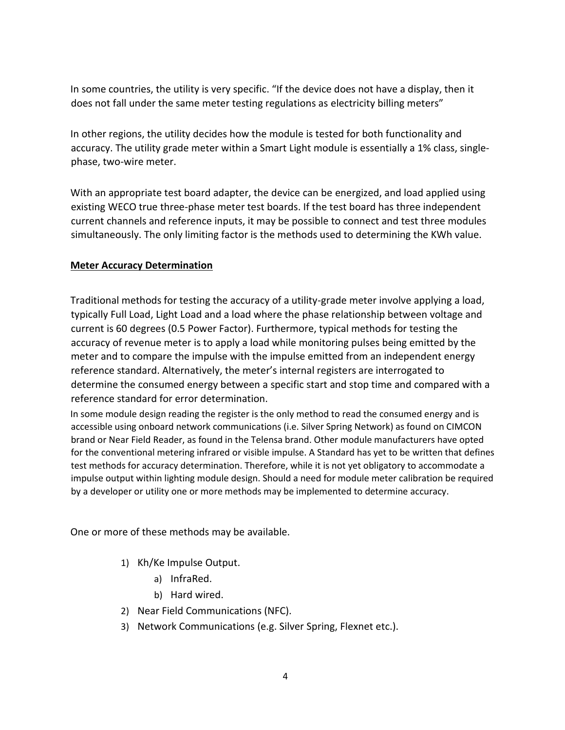In some countries, the utility is very specific. "If the device does not have a display, then it does not fall under the same meter testing regulations as electricity billing meters"

In other regions, the utility decides how the module is tested for both functionality and accuracy. The utility grade meter within a Smart Light module is essentially a 1% class, singlephase, two-wire meter.

With an appropriate test board adapter, the device can be energized, and load applied using existing WECO true three-phase meter test boards. If the test board has three independent current channels and reference inputs, it may be possible to connect and test three modules simultaneously. The only limiting factor is the methods used to determining the KWh value.

## **Meter Accuracy Determination**

Traditional methods for testing the accuracy of a utility-grade meter involve applying a load, typically Full Load, Light Load and a load where the phase relationship between voltage and current is 60 degrees (0.5 Power Factor). Furthermore, typical methods for testing the accuracy of revenue meter is to apply a load while monitoring pulses being emitted by the meter and to compare the impulse with the impulse emitted from an independent energy reference standard. Alternatively, the meter's internal registers are interrogated to determine the consumed energy between a specific start and stop time and compared with a reference standard for error determination.

In some module design reading the register is the only method to read the consumed energy and is accessible using onboard network communications (i.e. Silver Spring Network) as found on CIMCON brand or Near Field Reader, as found in the Telensa brand. Other module manufacturers have opted for the conventional metering infrared or visible impulse. A Standard has yet to be written that defines test methods for accuracy determination. Therefore, while it is not yet obligatory to accommodate a impulse output within lighting module design. Should a need for module meter calibration be required by a developer or utility one or more methods may be implemented to determine accuracy.

One or more of these methods may be available.

- 1) Kh/Ke Impulse Output.
	- a) InfraRed.
	- b) Hard wired.
- 2) Near Field Communications (NFC).
- 3) Network Communications (e.g. Silver Spring, Flexnet etc.).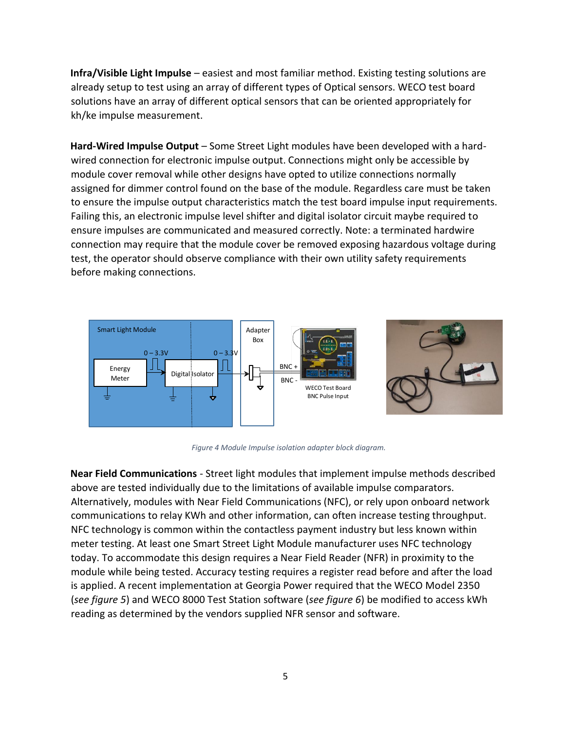**Infra/Visible Light Impulse** – easiest and most familiar method. Existing testing solutions are already setup to test using an array of different types of Optical sensors. WECO test board solutions have an array of different optical sensors that can be oriented appropriately for kh/ke impulse measurement.

Hard-Wired Impulse Output – Some Street Light modules have been developed with a hardwired connection for electronic impulse output. Connections might only be accessible by module cover removal while other designs have opted to utilize connections normally assigned for dimmer control found on the base of the module. Regardless care must be taken to ensure the impulse output characteristics match the test board impulse input requirements. Failing this, an electronic impulse level shifter and digital isolator circuit maybe required to ensure impulses are communicated and measured correctly. Note: a terminated hardwire connection may require that the module cover be removed exposing hazardous voltage during test, the operator should observe compliance with their own utility safety requirements before making connections.



*Figure 4 Module Impulse isolation adapter block diagram.*

**Near Field Communications** - Street light modules that implement impulse methods described above are tested individually due to the limitations of available impulse comparators. Alternatively, modules with Near Field Communications (NFC), or rely upon onboard network communications to relay KWh and other information, can often increase testing throughput. NFC technology is common within the contactless payment industry but less known within meter testing. At least one Smart Street Light Module manufacturer uses NFC technology today. To accommodate this design requires a Near Field Reader (NFR) in proximity to the module while being tested. Accuracy testing requires a register read before and after the load is applied. A recent implementation at Georgia Power required that the WECO Model 2350 (*see figure 5*) and WECO 8000 Test Station software (*see figure 6*) be modified to access kWh reading as determined by the vendors supplied NFR sensor and software.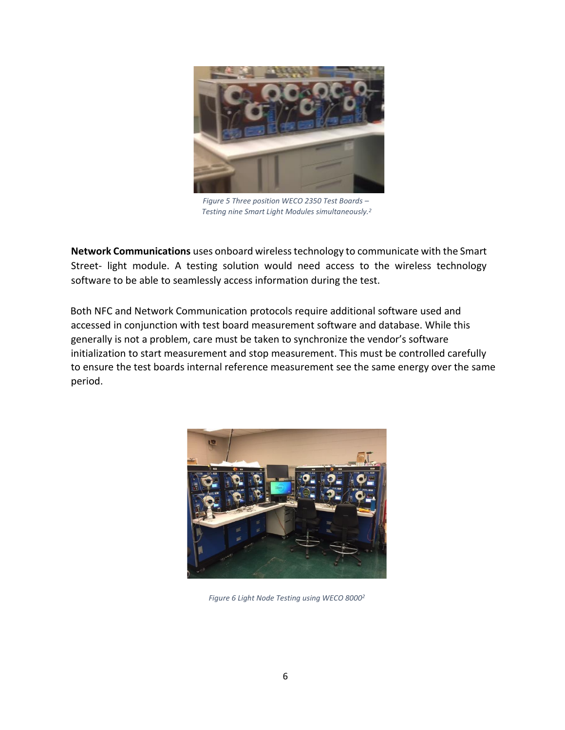

*Figure 5 Three position WECO 2350 Test Boards – Testing nine Smart Light Modules simultaneously.<sup>2</sup>*

**Network Communications** uses onboard wireless technology to communicate with the Smart Street- light module. A testing solution would need access to the wireless technology software to be able to seamlessly access information during the test.

Both NFC and Network Communication protocols require additional software used and accessed in conjunction with test board measurement software and database. While this generally is not a problem, care must be taken to synchronize the vendor's software initialization to start measurement and stop measurement. This must be controlled carefully to ensure the test boards internal reference measurement see the same energy over the same period.



*Figure 6 Light Node Testing using WECO 80002*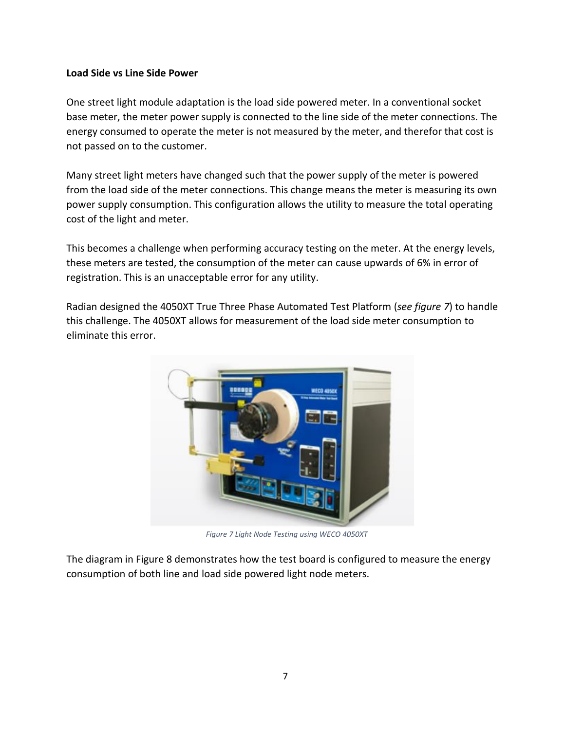#### **Load Side vs Line Side Power**

One street light module adaptation is the load side powered meter. In a conventional socket base meter, the meter power supply is connected to the line side of the meter connections. The energy consumed to operate the meter is not measured by the meter, and therefor that cost is not passed on to the customer.

Many street light meters have changed such that the power supply of the meter is powered from the load side of the meter connections. This change means the meter is measuring its own power supply consumption. This configuration allows the utility to measure the total operating cost of the light and meter.

This becomes a challenge when performing accuracy testing on the meter. At the energy levels, these meters are tested, the consumption of the meter can cause upwards of 6% in error of registration. This is an unacceptable error for any utility.

Radian designed the 4050XT True Three Phase Automated Test Platform (*see figure 7*) to handle this challenge. The 4050XT allows for measurement of the load side meter consumption to eliminate this error.



*Figure 7 Light Node Testing using WECO 4050XT*

The diagram in Figure 8 demonstrates how the test board is configured to measure the energy consumption of both line and load side powered light node meters.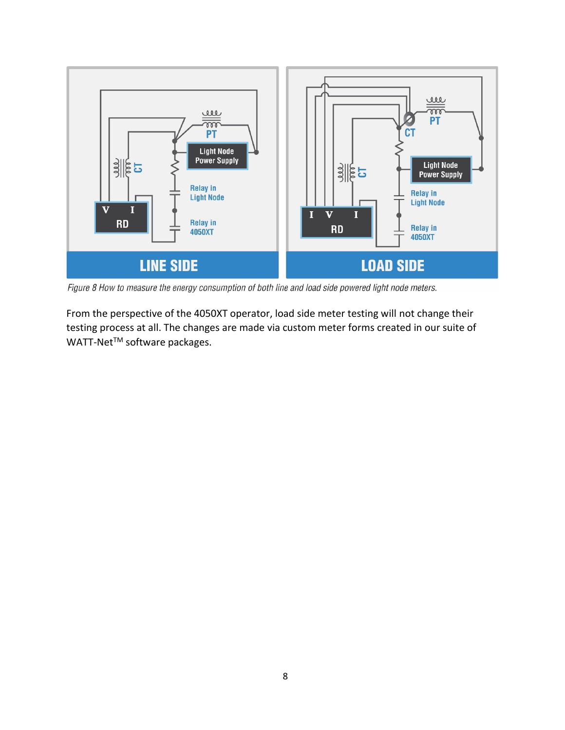

Figure 8 How to measure the energy consumption of both line and load side powered light node meters.

From the perspective of the 4050XT operator, load side meter testing will not change their testing process at all. The changes are made via custom meter forms created in our suite of WATT-Net<sup>™</sup> software packages.